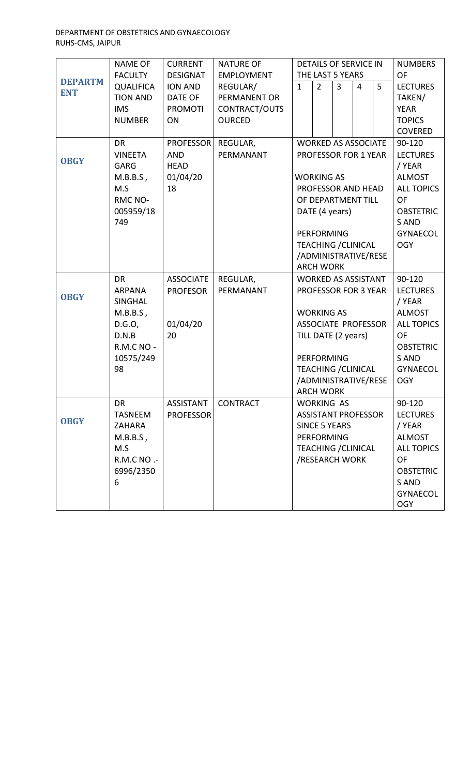#### DEPARTMENT OF OBSTETRICS AND GYNAECOLOGY RUHS-CMS, JAIPUR

|                | <b>NAME OF</b>    | <b>CURRENT</b>   | <b>NATURE OF</b>  | <b>DETAILS OF SERVICE IN</b> |                   |                            |                   |                 | <b>NUMBERS</b>    |
|----------------|-------------------|------------------|-------------------|------------------------------|-------------------|----------------------------|-------------------|-----------------|-------------------|
|                | <b>FACULTY</b>    | <b>DESIGNAT</b>  | <b>EMPLOYMENT</b> | THE LAST 5 YEARS             |                   |                            | OF                |                 |                   |
| <b>DEPARTM</b> | <b>QUALIFICA</b>  | ION AND          | REGULAR/          | $\mathbf{1}$                 | $\overline{2}$    | $\overline{3}$             | $\overline{4}$    | 5               | <b>LECTURES</b>   |
| <b>ENT</b>     | <b>TION AND</b>   | DATE OF          | PERMANENT OR      |                              |                   |                            |                   |                 | TAKEN/            |
|                | <b>IMS</b>        | <b>PROMOTI</b>   | CONTRACT/OUTS     |                              |                   |                            |                   |                 | <b>YEAR</b>       |
|                | <b>NUMBER</b>     | ON               | <b>OURCED</b>     |                              |                   |                            |                   |                 | <b>TOPICS</b>     |
|                |                   |                  |                   |                              |                   |                            |                   |                 | <b>COVERED</b>    |
|                | <b>DR</b>         | <b>PROFESSOR</b> | REGULAR,          |                              |                   | <b>WORKED AS ASSOCIATE</b> |                   |                 | 90-120            |
|                | <b>VINEETA</b>    | <b>AND</b>       | PERMANANT         | PROFESSOR FOR 1 YEAR         |                   |                            |                   | <b>LECTURES</b> |                   |
| <b>OBGY</b>    | <b>GARG</b>       | <b>HEAD</b>      |                   |                              |                   |                            |                   | / YEAR          |                   |
|                | $M.B.B.S$ ,       | 01/04/20         |                   | <b>WORKING AS</b>            |                   |                            | <b>ALMOST</b>     |                 |                   |
|                | M.S               | 18               |                   | PROFESSOR AND HEAD           |                   |                            | <b>ALL TOPICS</b> |                 |                   |
|                | RMC NO-           |                  |                   | OF DEPARTMENT TILL           |                   |                            | OF                |                 |                   |
|                | 005959/18         |                  |                   | DATE (4 years)               |                   |                            | <b>OBSTETRIC</b>  |                 |                   |
|                | 749               |                  |                   |                              |                   | S AND                      |                   |                 |                   |
|                |                   |                  |                   | <b>PERFORMING</b>            |                   |                            | <b>GYNAECOL</b>   |                 |                   |
|                |                   |                  |                   | <b>TEACHING / CLINICAL</b>   |                   |                            | <b>OGY</b>        |                 |                   |
|                |                   |                  |                   | /ADMINISTRATIVE/RESE         |                   |                            |                   |                 |                   |
|                |                   |                  |                   | <b>ARCH WORK</b>             |                   |                            |                   |                 |                   |
|                | <b>DR</b>         | <b>ASSOCIATE</b> | REGULAR,          |                              |                   | <b>WORKED AS ASSISTANT</b> |                   |                 | 90-120            |
|                | <b>ARPANA</b>     | <b>PROFESOR</b>  | PERMANANT         |                              |                   | PROFESSOR FOR 3 YEAR       |                   |                 | <b>LECTURES</b>   |
| <b>OBGY</b>    | <b>SINGHAL</b>    |                  |                   |                              |                   |                            | / YEAR            |                 |                   |
|                | $M.B.B.S$ ,       |                  |                   |                              | <b>WORKING AS</b> |                            |                   |                 | <b>ALMOST</b>     |
|                | D.G.O,            | 01/04/20         |                   | <b>ASSOCIATE PROFESSOR</b>   |                   | <b>ALL TOPICS</b>          |                   |                 |                   |
|                | D.N.B             | 20               |                   | TILL DATE (2 years)          |                   | OF                         |                   |                 |                   |
|                | <b>R.M.C NO -</b> |                  |                   |                              |                   | <b>OBSTETRIC</b>           |                   |                 |                   |
|                | 10575/249         |                  |                   | <b>PERFORMING</b>            |                   | S AND                      |                   |                 |                   |
|                | 98                |                  |                   | <b>TEACHING / CLINICAL</b>   |                   | <b>GYNAECOL</b>            |                   |                 |                   |
|                |                   |                  |                   | /ADMINISTRATIVE/RESE         |                   | <b>OGY</b>                 |                   |                 |                   |
|                |                   |                  |                   |                              | <b>ARCH WORK</b>  |                            |                   |                 |                   |
|                | <b>DR</b>         | ASSISTANT        | <b>CONTRACT</b>   |                              | <b>WORKING AS</b> |                            |                   |                 | 90-120            |
| <b>OBGY</b>    | <b>TASNEEM</b>    | <b>PROFESSOR</b> |                   |                              |                   | <b>ASSISTANT PROFESSOR</b> |                   |                 | <b>LECTURES</b>   |
|                | ZAHARA            |                  |                   |                              |                   | <b>SINCE 5 YEARS</b>       |                   |                 | / YEAR            |
|                | $M.B.B.S$ ,       |                  |                   |                              | <b>PERFORMING</b> |                            |                   |                 | <b>ALMOST</b>     |
|                | M.S               |                  |                   |                              |                   | <b>TEACHING / CLINICAL</b> |                   |                 | <b>ALL TOPICS</b> |
|                | R.M.C NO .-       |                  |                   |                              |                   | /RESEARCH WORK             |                   |                 | OF                |
|                | 6996/2350         |                  |                   |                              |                   |                            |                   |                 | <b>OBSTETRIC</b>  |
|                | 6                 |                  |                   |                              |                   |                            |                   |                 | S AND             |
|                |                   |                  |                   |                              |                   |                            |                   |                 | <b>GYNAECOL</b>   |
|                |                   |                  |                   |                              |                   |                            |                   |                 | <b>OGY</b>        |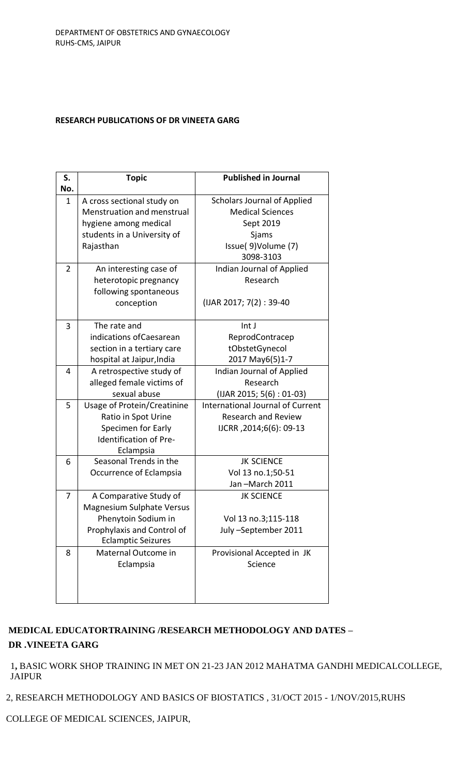### **RESEARCH PUBLICATIONS OF DR VINEETA GARG**

| S.             | <b>Topic</b>                       | <b>Published in Journal</b>             |  |  |  |
|----------------|------------------------------------|-----------------------------------------|--|--|--|
| No.            |                                    |                                         |  |  |  |
| $\mathbf{1}$   | A cross sectional study on         | <b>Scholars Journal of Applied</b>      |  |  |  |
|                | Menstruation and menstrual         | <b>Medical Sciences</b>                 |  |  |  |
|                | hygiene among medical              | Sept 2019                               |  |  |  |
|                | students in a University of        | Sjams                                   |  |  |  |
|                | Rajasthan                          | Issue( 9) Volume (7)                    |  |  |  |
|                |                                    | 3098-3103                               |  |  |  |
| $\overline{2}$ | An interesting case of             | Indian Journal of Applied               |  |  |  |
|                | heterotopic pregnancy              | Research                                |  |  |  |
|                | following spontaneous              |                                         |  |  |  |
|                | conception                         | (IJAR 2017; 7(2): 39-40                 |  |  |  |
|                |                                    |                                         |  |  |  |
| 3              | The rate and                       | Int J                                   |  |  |  |
|                | indications of Caesarean           | ReprodContracep                         |  |  |  |
|                | section in a tertiary care         | tObstetGynecol                          |  |  |  |
|                | hospital at Jaipur, India          | 2017 May6(5)1-7                         |  |  |  |
| 4              | A retrospective study of           | Indian Journal of Applied               |  |  |  |
|                | alleged female victims of          | Research                                |  |  |  |
|                | sexual abuse                       | (IJAR 2015; 5(6): 01-03)                |  |  |  |
| 5              | <b>Usage of Protein/Creatinine</b> | <b>International Journal of Current</b> |  |  |  |
|                | Ratio in Spot Urine                | <b>Research and Review</b>              |  |  |  |
|                | Specimen for Early                 | IJCRR, 2014;6(6): 09-13                 |  |  |  |
|                | Identification of Pre-             |                                         |  |  |  |
|                | Eclampsia                          |                                         |  |  |  |
| 6              | Seasonal Trends in the             | <b>JK SCIENCE</b>                       |  |  |  |
|                | Occurrence of Eclampsia            | Vol 13 no.1;50-51                       |  |  |  |
|                |                                    | Jan-March 2011                          |  |  |  |
| 7              | A Comparative Study of             | <b>JK SCIENCE</b>                       |  |  |  |
|                | <b>Magnesium Sulphate Versus</b>   |                                         |  |  |  |
|                | Phenytoin Sodium in                | Vol 13 no.3;115-118                     |  |  |  |
|                | Prophylaxis and Control of         | July-September 2011                     |  |  |  |
|                | <b>Eclamptic Seizures</b>          |                                         |  |  |  |
| 8              | Maternal Outcome in                | Provisional Accepted in JK              |  |  |  |
|                | Eclampsia                          | Science                                 |  |  |  |
|                |                                    |                                         |  |  |  |
|                |                                    |                                         |  |  |  |
|                |                                    |                                         |  |  |  |

# **MEDICAL EDUCATORTRAINING /RESEARCH METHODOLOGY AND DATES – DR .VINEETA GARG**

1**,** BASIC WORK SHOP TRAINING IN MET ON 21-23 JAN 2012 MAHATMA GANDHI MEDICALCOLLEGE, JAIPUR

2, RESEARCH METHODOLOGY AND BASICS OF BIOSTATICS , 31/OCT 2015 - 1/NOV/2015,RUHS

COLLEGE OF MEDICAL SCIENCES, JAIPUR,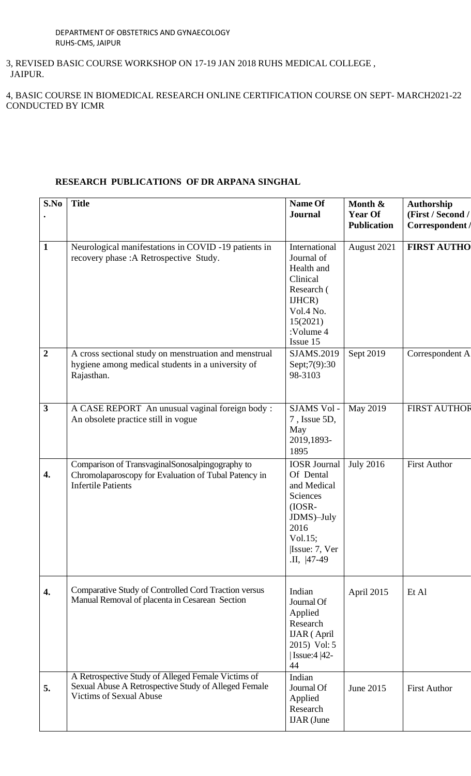3, REVISED BASIC COURSE WORKSHOP ON 17-19 JAN 2018 RUHS MEDICAL COLLEGE , JAIPUR.

4, BASIC COURSE IN BIOMEDICAL RESEARCH ONLINE CERTIFICATION COURSE ON SEPT- MARCH2021-22 CONDUCTED BY ICMR

## **RESEARCH PUBLICATIONS OF DR ARPANA SINGHAL**

| S.No                    | <b>Title</b>                                                                                                                                 | Name Of<br><b>Journal</b>                                                                                                               | Month &<br><b>Year Of</b><br><b>Publication</b> | <b>Authorship</b><br>(First / Second /<br>Correspondent / |
|-------------------------|----------------------------------------------------------------------------------------------------------------------------------------------|-----------------------------------------------------------------------------------------------------------------------------------------|-------------------------------------------------|-----------------------------------------------------------|
| $\mathbf{1}$            | Neurological manifestations in COVID -19 patients in<br>recovery phase : A Retrospective Study.                                              | International<br>Journal of<br>Health and<br>Clinical<br>Research (<br>IJHCR)<br>Vol.4 No.<br>15(2021)<br>:Volume 4<br>Issue 15         | August 2021                                     | <b>FIRST AUTHO</b>                                        |
| $\overline{2}$          | A cross sectional study on menstruation and menstrual<br>hygiene among medical students in a university of<br>Rajasthan.                     | SJAMS.2019<br>Sept;7(9):30<br>98-3103                                                                                                   | Sept 2019                                       | Correspondent A                                           |
| $\overline{\mathbf{3}}$ | A CASE REPORT An unusual vaginal foreign body:<br>An obsolete practice still in vogue                                                        | SJAMS Vol -<br>7, Issue 5D,<br>May<br>2019,1893-<br>1895                                                                                | May 2019                                        | <b>FIRST AUTHOR</b>                                       |
| 4.                      | Comparison of TransvaginalSonosalpingography to<br>Chromolaparoscopy for Evaluation of Tubal Patency in<br><b>Infertile Patients</b>         | <b>IOSR</b> Journal<br>Of Dental<br>and Medical<br>Sciences<br>$(IOSR-$<br>JDMS)-July<br>2016<br>Vol.15;<br>Issue: 7, Ver<br>.II, 47-49 | <b>July 2016</b>                                | <b>First Author</b>                                       |
| 4.                      | Comparative Study of Controlled Cord Traction versus<br>Manual Removal of placenta in Cesarean Section                                       | Indian<br>Journal Of<br>Applied<br>Research<br><b>IJAR</b> (April<br>2015) Vol: 5<br><b>Issue:4 42-</b><br>44                           | April 2015                                      | Et Al                                                     |
| 5.                      | A Retrospective Study of Alleged Female Victims of<br>Sexual Abuse A Retrospective Study of Alleged Female<br><b>Victims of Sexual Abuse</b> | Indian<br>Journal Of<br>Applied<br>Research<br><b>IJAR</b> (June                                                                        | June 2015                                       | <b>First Author</b>                                       |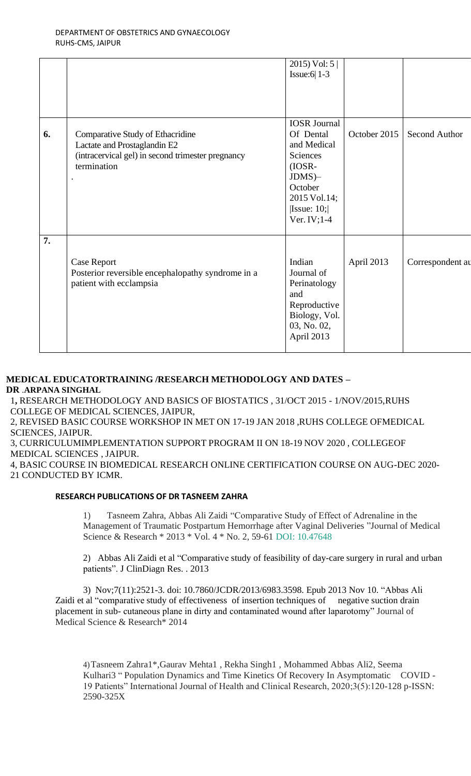|    |                                                                                                                                      | 2015) Vol: $5 \mid$<br>Issue: $6$   1-3                                                                                                        |              |                  |
|----|--------------------------------------------------------------------------------------------------------------------------------------|------------------------------------------------------------------------------------------------------------------------------------------------|--------------|------------------|
| 6. | Comparative Study of Ethacridine<br>Lactate and Prostaglandin E2<br>(intracervical gel) in second trimester pregnancy<br>termination | <b>IOSR</b> Journal<br>Of Dental<br>and Medical<br>Sciences<br>$(IOSR-$<br>$JDMS$ )-<br>October<br>2015 Vol.14;<br> Issue: 10; <br>Ver. IV;1-4 | October 2015 | Second Author    |
| 7. | <b>Case Report</b><br>Posterior reversible encephalopathy syndrome in a<br>patient with ecclampsia                                   | Indian<br>Journal of<br>Perinatology<br>and<br>Reproductive<br>Biology, Vol.<br>03, No. 02,<br>April 2013                                      | April 2013   | Correspondent au |

### **MEDICAL EDUCATORTRAINING /RESEARCH METHODOLOGY AND DATES – DR** .**ARPANA SINGHAL**

1**,** RESEARCH METHODOLOGY AND BASICS OF BIOSTATICS , 31/OCT 2015 - 1/NOV/2015,RUHS COLLEGE OF MEDICAL SCIENCES, JAIPUR,

2, REVISED BASIC COURSE WORKSHOP IN MET ON 17-19 JAN 2018 ,RUHS COLLEGE OFMEDICAL SCIENCES, JAIPUR.

3, CURRICULUMIMPLEMENTATION SUPPORT PROGRAM II ON 18-19 NOV 2020 , COLLEGEOF MEDICAL SCIENCES , JAIPUR.

4, BASIC COURSE IN BIOMEDICAL RESEARCH ONLINE CERTIFICATION COURSE ON AUG-DEC 2020- 21 CONDUCTED BY ICMR.

### **RESEARCH PUBLICATIONS OF DR TASNEEM ZAHRA**

1) Tasneem Zahra, Abbas Ali Zaidi "Comparative Study of Effect of Adrenaline in the Management of Traumatic Postpartum Hemorrhage after Vaginal Deliveries "Journal of Medical Science & Research \* 2013 \* Vol. 4 \* No. 2, 59-61 DOI: 10.47648

2) Abbas Ali Zaidi et al "Comparative study of feasibility of day-care surgery in rural and urban patients". J ClinDiagn Res. . 2013

3) Nov;7(11):2521-3. doi: 10.7860/JCDR/2013/6983.3598. Epub 2013 Nov 10. "Abbas Ali Zaidi et al "comparative study of effectiveness of insertion techniques of negative suction drain placement in sub- cutaneous plane in dirty and contaminated wound after laparotomy" Journal of Medical Science & Research\* 2014

4)Tasneem Zahra1\*,Gaurav Mehta1 , Rekha Singh1 , Mohammed Abbas Ali2, Seema Kulhari3 " Population Dynamics and Time Kinetics Of Recovery In Asymptomatic COVID - 19 Patients" International Journal of Health and Clinical Research, 2020;3(5):120-128 p-ISSN: 2590-325X